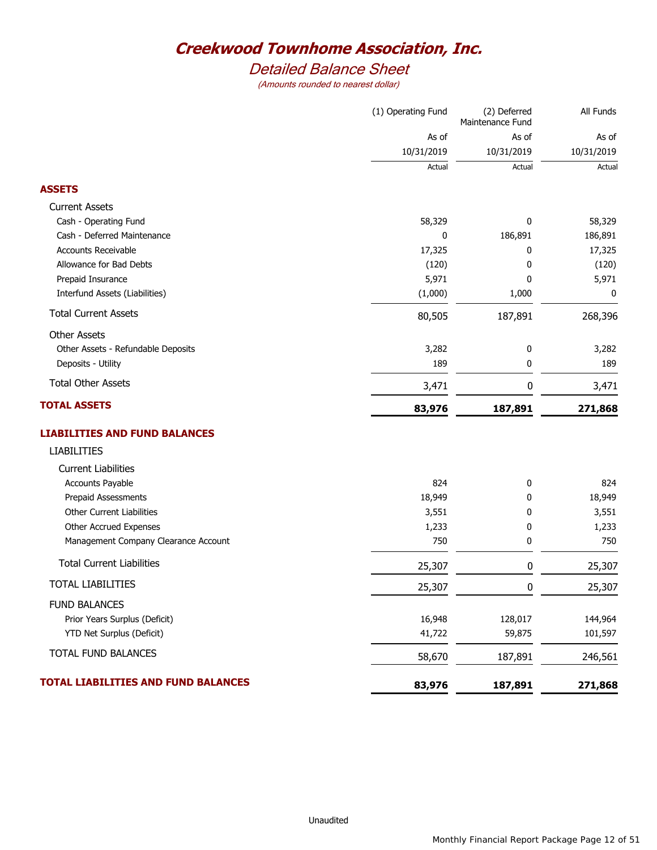# *Detailed Balance Sheet*

|                                      | (1) Operating Fund | (2) Deferred<br>Maintenance Fund | All Funds  |
|--------------------------------------|--------------------|----------------------------------|------------|
|                                      | As of              | As of                            | As of      |
|                                      | 10/31/2019         | 10/31/2019                       | 10/31/2019 |
|                                      | Actual             | Actual                           | Actual     |
| <b>ASSETS</b>                        |                    |                                  |            |
| <b>Current Assets</b>                |                    |                                  |            |
| Cash - Operating Fund                | 58,329             | 0                                | 58,329     |
| Cash - Deferred Maintenance          | 0                  | 186,891                          | 186,891    |
| Accounts Receivable                  | 17,325             | 0                                | 17,325     |
| Allowance for Bad Debts              | (120)              | 0                                | (120)      |
| Prepaid Insurance                    | 5,971              | 0                                | 5,971      |
| Interfund Assets (Liabilities)       | (1,000)            | 1,000                            | 0          |
| <b>Total Current Assets</b>          | 80,505             | 187,891                          | 268,396    |
| <b>Other Assets</b>                  |                    |                                  |            |
| Other Assets - Refundable Deposits   | 3,282              | 0                                | 3,282      |
| Deposits - Utility                   | 189                | 0                                | 189        |
| <b>Total Other Assets</b>            | 3,471              | 0                                | 3,471      |
| <b>TOTAL ASSETS</b>                  | 83,976             | 187,891                          | 271,868    |
| <b>LIABILITIES AND FUND BALANCES</b> |                    |                                  |            |
| <b>LIABILITIES</b>                   |                    |                                  |            |
| <b>Current Liabilities</b>           |                    |                                  |            |
| Accounts Payable                     | 824                | 0                                | 824        |
| Prepaid Assessments                  | 18,949             | 0                                | 18,949     |
| <b>Other Current Liabilities</b>     | 3,551              | 0                                | 3,551      |
| Other Accrued Expenses               | 1,233              | 0                                | 1,233      |
| Management Company Clearance Account | 750                | 0                                | 750        |
| <b>Total Current Liabilities</b>     | 25,307             | 0                                | 25,307     |
| <b>TOTAL LIABILITIES</b>             | 25,307             | 0                                | 25,307     |
| <b>FUND BALANCES</b>                 |                    |                                  |            |
| Prior Years Surplus (Deficit)        | 16,948             | 128,017                          | 144,964    |
| YTD Net Surplus (Deficit)            | 41,722             | 59,875                           | 101,597    |
| TOTAL FUND BALANCES                  | 58,670             | 187,891                          | 246,561    |
| TOTAL LIABILITIES AND FUND BALANCES  | 83,976             |                                  |            |
|                                      |                    | 187,891                          | 271,868    |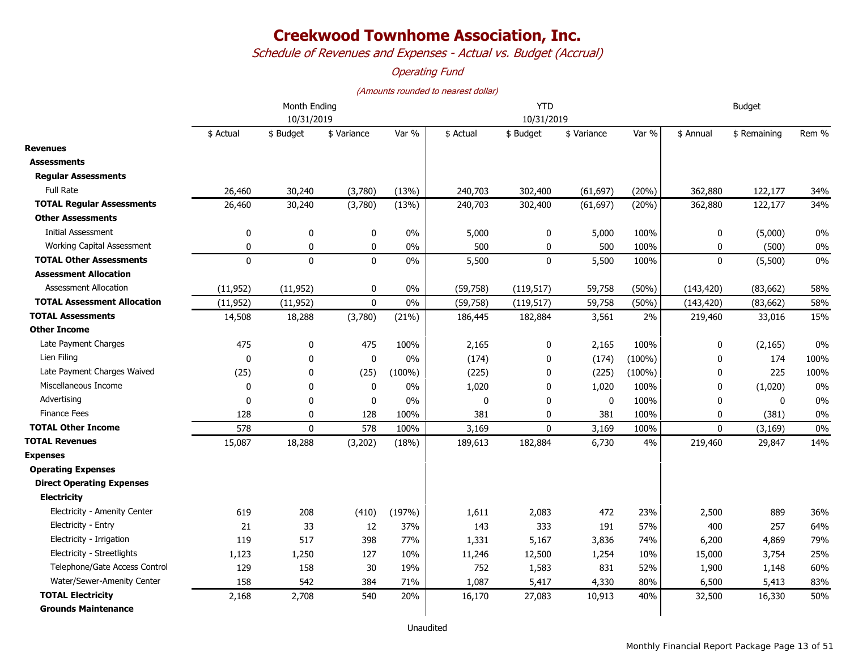*Schedule of Revenues and Expenses - Actual vs. Budget (Accrual)*

### *Operating Fund*

|                                    | Month Ending<br>10/31/2019 |              |              |           |              | <b>YTD</b><br>10/31/2019 | <b>Budget</b> |           |              |              |       |
|------------------------------------|----------------------------|--------------|--------------|-----------|--------------|--------------------------|---------------|-----------|--------------|--------------|-------|
|                                    | \$ Actual                  | \$ Budget    | \$ Variance  | Var %     | \$ Actual    | \$ Budget                | \$ Variance   | Var %     | \$ Annual    | \$ Remaining | Rem % |
| <b>Revenues</b>                    |                            |              |              |           |              |                          |               |           |              |              |       |
| <b>Assessments</b>                 |                            |              |              |           |              |                          |               |           |              |              |       |
| <b>Regular Assessments</b>         |                            |              |              |           |              |                          |               |           |              |              |       |
| <b>Full Rate</b>                   | 26,460                     | 30,240       | (3,780)      | (13%)     | 240,703      | 302,400                  | (61, 697)     | (20%)     | 362,880      | 122,177      | 34%   |
| <b>TOTAL Regular Assessments</b>   | 26,460                     | 30,240       | (3,780)      | (13%)     | 240,703      | 302,400                  | (61, 697)     | (20%)     | 362,880      | 122,177      | 34%   |
| Other Assessments                  |                            |              |              |           |              |                          |               |           |              |              |       |
| <b>Initial Assessment</b>          | 0                          | $\pmb{0}$    | 0            | 0%        | 5,000        | 0                        | 5,000         | 100%      | 0            | (5,000)      | $0\%$ |
| Working Capital Assessment         | $\mathbf{0}$               | 0            | $\mathbf 0$  | 0%        | 500          | 0                        | 500           | 100%      | 0            | (500)        | $0\%$ |
| <b>TOTAL Other Assessments</b>     | $\mathbf 0$                | $\mathbf 0$  | $\mathbf 0$  | 0%        | 5,500        | $\mathbf 0$              | 5,500         | 100%      | 0            | (5,500)      | $0\%$ |
| <b>Assessment Allocation</b>       |                            |              |              |           |              |                          |               |           |              |              |       |
| <b>Assessment Allocation</b>       | (11, 952)                  | (11, 952)    | $\mathbf 0$  | 0%        | (59, 758)    | (119, 517)               | 59,758        | (50%)     | (143, 420)   | (83,662)     | 58%   |
| <b>TOTAL Assessment Allocation</b> | (11, 952)                  | (11, 952)    | $\mathbf 0$  | 0%        | (59, 758)    | (119, 517)               | 59,758        | (50%)     | (143, 420)   | (83, 662)    | 58%   |
| <b>TOTAL Assessments</b>           | 14,508                     | 18,288       | (3,780)      | (21%)     | 186,445      | 182,884                  | 3,561         | 2%        | 219,460      | 33,016       | 15%   |
| Other Income                       |                            |              |              |           |              |                          |               |           |              |              |       |
| Late Payment Charges               | 475                        | 0            | 475          | 100%      | 2,165        | 0                        | 2,165         | 100%      | 0            | (2, 165)     | 0%    |
| Lien Filing                        | $\mathbf{0}$               | 0            | $\mathbf{0}$ | $0\%$     | (174)        | $\mathbf{0}$             | (174)         | $(100\%)$ | $\mathbf{0}$ | 174          | 100%  |
| Late Payment Charges Waived        | (25)                       | 0            | (25)         | $(100\%)$ | (225)        | $\mathbf{0}$             | (225)         | $(100\%)$ | 0            | 225          | 100%  |
| Miscellaneous Income               | $\mathbf 0$                | 0            | 0            | 0%        | 1,020        | 0                        | 1,020         | 100%      | 0            | (1,020)      | $0\%$ |
| Advertising                        | $\mathbf{0}$               | $\mathbf{0}$ | 0            | 0%        | $\mathbf{0}$ | $\mathbf{0}$             | $\mathbf{0}$  | 100%      | $\mathbf{0}$ | 0            | $0\%$ |
| <b>Finance Fees</b>                | 128                        | 0            | 128          | 100%      | 381          | 0                        | 381           | 100%      | 0            | (381)        | $0\%$ |
| <b>TOTAL Other Income</b>          | 578                        | $\mathbf{0}$ | 578          | 100%      | 3,169        | $\Omega$                 | 3,169         | 100%      | $\Omega$     | (3, 169)     | $0\%$ |
| <b>TOTAL Revenues</b>              | 15,087                     | 18,288       | (3,202)      | (18%)     | 189,613      | 182,884                  | 6,730         | 4%        | 219,460      | 29,847       | 14%   |
| <b>Expenses</b>                    |                            |              |              |           |              |                          |               |           |              |              |       |
| <b>Operating Expenses</b>          |                            |              |              |           |              |                          |               |           |              |              |       |
| <b>Direct Operating Expenses</b>   |                            |              |              |           |              |                          |               |           |              |              |       |
| <b>Electricity</b>                 |                            |              |              |           |              |                          |               |           |              |              |       |
| Electricity - Amenity Center       | 619                        | 208          | (410)        | (197%)    | 1,611        | 2,083                    | 472           | 23%       | 2,500        | 889          | 36%   |
| Electricity - Entry                | 21                         | 33           | 12           | 37%       | 143          | 333                      | 191           | 57%       | 400          | 257          | 64%   |
| Electricity - Irrigation           | 119                        | 517          | 398          | 77%       | 1,331        | 5,167                    | 3,836         | 74%       | 6,200        | 4,869        | 79%   |
| Electricity - Streetlights         | 1,123                      | 1,250        | 127          | 10%       | 11,246       | 12,500                   | 1,254         | 10%       | 15,000       | 3,754        | 25%   |
| Telephone/Gate Access Control      | 129                        | 158          | 30           | 19%       | 752          | 1,583                    | 831           | 52%       | 1,900        | 1,148        | 60%   |
| Water/Sewer-Amenity Center         | 158                        | 542          | 384          | 71%       | 1,087        | 5,417                    | 4,330         | 80%       | 6,500        | 5,413        | 83%   |
| <b>TOTAL Electricity</b>           | 2,168                      | 2,708        | 540          | 20%       | 16,170       | 27,083                   | 10,913        | 40%       | 32,500       | 16,330       | 50%   |
| <b>Grounds Maintenance</b>         |                            |              |              |           |              |                          |               |           |              |              |       |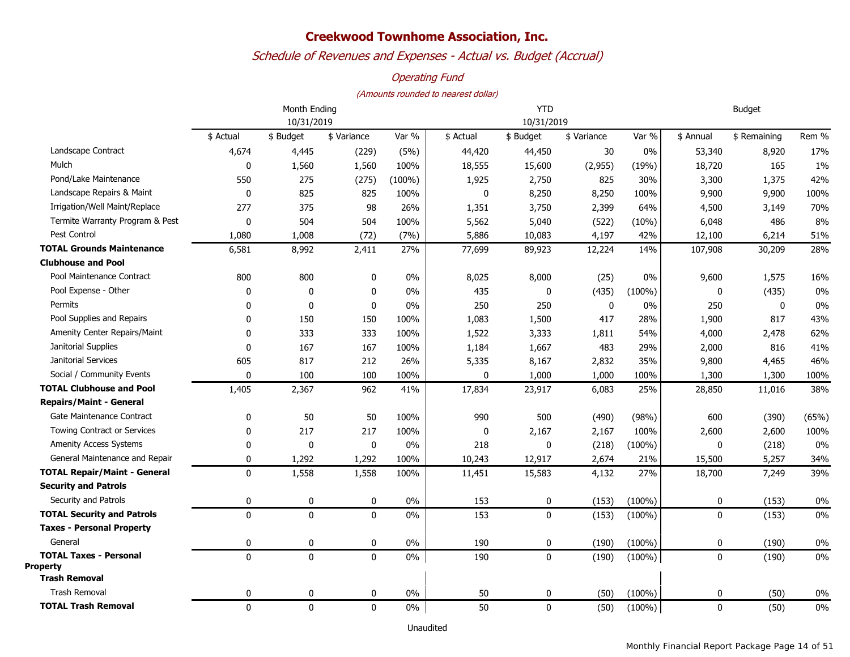## *Schedule of Revenues and Expenses - Actual vs. Budget (Accrual)*

### *Operating Fund*

#### *(Amounts rounded to nearest dollar)*

|                                                  |              | Month Ending |             |           | <b>YTD</b> | <b>Budget</b> |             |           |              |              |       |
|--------------------------------------------------|--------------|--------------|-------------|-----------|------------|---------------|-------------|-----------|--------------|--------------|-------|
|                                                  | 10/31/2019   |              |             |           |            | 10/31/2019    |             |           |              |              |       |
|                                                  | \$ Actual    | \$ Budget    | \$ Variance | Var %     | \$ Actual  | \$ Budget     | \$ Variance | Var %     | \$ Annual    | \$ Remaining | Rem % |
| Landscape Contract                               | 4,674        | 4,445        | (229)       | (5%)      | 44,420     | 44,450        | 30          | 0%        | 53,340       | 8,920        | 17%   |
| Mulch                                            | $\mathbf 0$  | 1,560        | 1,560       | 100%      | 18,555     | 15,600        | (2,955)     | (19%)     | 18,720       | 165          | 1%    |
| Pond/Lake Maintenance                            | 550          | 275          | (275)       | $(100\%)$ | 1,925      | 2,750         | 825         | 30%       | 3,300        | 1,375        | 42%   |
| Landscape Repairs & Maint                        | $\mathbf 0$  | 825          | 825         | 100%      | 0          | 8,250         | 8,250       | 100%      | 9,900        | 9,900        | 100%  |
| Irrigation/Well Maint/Replace                    | 277          | 375          | 98          | 26%       | 1,351      | 3,750         | 2,399       | 64%       | 4,500        | 3,149        | 70%   |
| Termite Warranty Program & Pest                  | $\mathbf 0$  | 504          | 504         | 100%      | 5,562      | 5,040         | (522)       | (10%)     | 6,048        | 486          | 8%    |
| Pest Control                                     | 1,080        | 1,008        | (72)        | (7%)      | 5,886      | 10,083        | 4,197       | 42%       | 12,100       | 6,214        | 51%   |
| <b>TOTAL Grounds Maintenance</b>                 | 6,581        | 8,992        | 2,411       | 27%       | 77,699     | 89,923        | 12,224      | 14%       | 107,908      | 30,209       | 28%   |
| <b>Clubhouse and Pool</b>                        |              |              |             |           |            |               |             |           |              |              |       |
| Pool Maintenance Contract                        | 800          | 800          | 0           | $0\%$     | 8,025      | 8,000         | (25)        | 0%        | 9,600        | 1,575        | 16%   |
| Pool Expense - Other                             | 0            | 0            | 0           | 0%        | 435        | 0             | (435)       | $(100\%)$ | 0            | (435)        | 0%    |
| Permits                                          | 0            | 0            | $\mathbf 0$ | 0%        | 250        | 250           | 0           | 0%        | 250          | 0            | 0%    |
| Pool Supplies and Repairs                        | 0            | 150          | 150         | 100%      | 1,083      | 1,500         | 417         | 28%       | 1,900        | 817          | 43%   |
| Amenity Center Repairs/Maint                     | 0            | 333          | 333         | 100%      | 1,522      | 3,333         | 1,811       | 54%       | 4,000        | 2,478        | 62%   |
| Janitorial Supplies                              | $\mathbf{0}$ | 167          | 167         | 100%      | 1,184      | 1,667         | 483         | 29%       | 2,000        | 816          | 41%   |
| Janitorial Services                              | 605          | 817          | 212         | 26%       | 5,335      | 8,167         | 2,832       | 35%       | 9,800        | 4,465        | 46%   |
| Social / Community Events                        | 0            | 100          | 100         | 100%      | 0          | 1,000         | 1,000       | 100%      | 1,300        | 1,300        | 100%  |
| <b>TOTAL Clubhouse and Pool</b>                  | 1,405        | 2,367        | 962         | 41%       | 17,834     | 23,917        | 6,083       | 25%       | 28,850       | 11,016       | 38%   |
| <b>Repairs/Maint - General</b>                   |              |              |             |           |            |               |             |           |              |              |       |
| Gate Maintenance Contract                        | 0            | 50           | 50          | 100%      | 990        | 500           | (490)       | (98%)     | 600          | (390)        | (65%) |
| <b>Towing Contract or Services</b>               | 0            | 217          | 217         | 100%      | 0          | 2,167         | 2,167       | 100%      | 2,600        | 2,600        | 100%  |
| Amenity Access Systems                           | 0            | 0            | $\pmb{0}$   | 0%        | 218        | 0             | (218)       | $(100\%)$ | 0            | (218)        | 0%    |
| General Maintenance and Repair                   | 0            | 1,292        | 1,292       | 100%      | 10,243     | 12,917        | 2,674       | 21%       | 15,500       | 5,257        | 34%   |
| <b>TOTAL Repair/Maint - General</b>              | $\mathbf{0}$ | 1,558        | 1,558       | 100%      | 11,451     | 15,583        | 4,132       | 27%       | 18,700       | 7,249        | 39%   |
| <b>Security and Patrols</b>                      |              |              |             |           |            |               |             |           |              |              |       |
| Security and Patrols                             | 0            | 0            | 0           | 0%        | 153        | 0             | (153)       | $(100\%)$ | 0            | (153)        | 0%    |
| <b>TOTAL Security and Patrols</b>                | $\mathbf{0}$ | $\mathbf{0}$ | $\mathbf 0$ | 0%        | 153        | $\mathbf{0}$  | (153)       | $(100\%)$ | $\mathbf{0}$ | (153)        | 0%    |
| <b>Taxes - Personal Property</b>                 |              |              |             |           |            |               |             |           |              |              |       |
| General                                          | 0            | 0            | $\mathbf 0$ | 0%        | 190        | 0             | (190)       | $(100\%)$ | 0            | (190)        | 0%    |
| <b>TOTAL Taxes - Personal</b><br><b>Property</b> | $\mathbf 0$  | $\mathbf{0}$ | $\mathbf 0$ | 0%        | 190        | $\mathbf{0}$  | (190)       | $(100\%)$ | $\mathbf{0}$ | (190)        | 0%    |
| <b>Trash Removal</b>                             |              |              |             |           |            |               |             |           |              |              |       |
| <b>Trash Removal</b>                             | 0            | 0            | 0           | $0\%$     | 50         | 0             | (50)        | $(100\%)$ | 0            | (50)         | 0%    |
| <b>TOTAL Trash Removal</b>                       | 0            | $\mathbf 0$  | $\mathbf 0$ | $0\%$     | 50         | 0             | (50)        | $(100\%)$ | $\mathbf{0}$ | (50)         | 0%    |

Unaudited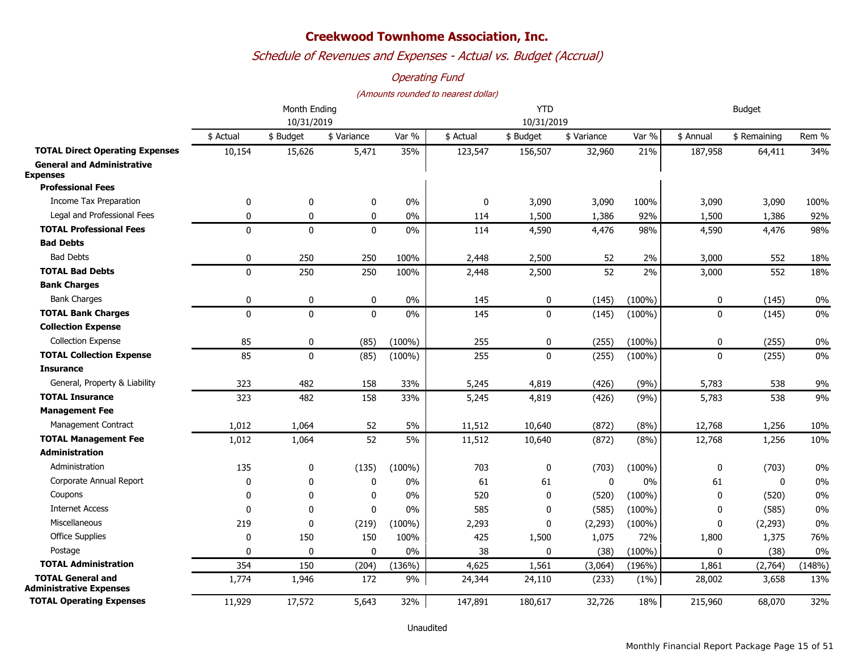*Schedule of Revenues and Expenses - Actual vs. Budget (Accrual)*

### *Operating Fund*

#### *(Amounts rounded to nearest dollar)*

|                                                            |              | Month Ending |              | <b>YTD</b> |             |              |              | <b>Budget</b> |              |              |        |  |
|------------------------------------------------------------|--------------|--------------|--------------|------------|-------------|--------------|--------------|---------------|--------------|--------------|--------|--|
|                                                            | 10/31/2019   |              |              |            |             | 10/31/2019   |              |               |              |              |        |  |
|                                                            | \$ Actual    | \$ Budget    | \$ Variance  | Var %      | \$ Actual   | \$ Budget    | \$ Variance  | Var %         | \$ Annual    | \$ Remaining | Rem %  |  |
| <b>TOTAL Direct Operating Expenses</b>                     | 10,154       | 15,626       | 5,471        | 35%        | 123,547     | 156,507      | 32,960       | 21%           | 187,958      | 64,411       | 34%    |  |
| <b>General and Administrative</b><br><b>Expenses</b>       |              |              |              |            |             |              |              |               |              |              |        |  |
| <b>Professional Fees</b>                                   |              |              |              |            |             |              |              |               |              |              |        |  |
| Income Tax Preparation                                     | 0            | 0            | 0            | 0%         | $\mathbf 0$ | 3,090        | 3,090        | 100%          | 3,090        | 3,090        | 100%   |  |
| Legal and Professional Fees                                | 0            | 0            | 0            | 0%         | 114         | 1,500        | 1,386        | 92%           | 1,500        | 1,386        | 92%    |  |
| <b>TOTAL Professional Fees</b>                             | $\Omega$     | $\mathbf{0}$ | $\mathbf{0}$ | 0%         | 114         | 4,590        | 4,476        | 98%           | 4,590        | 4,476        | 98%    |  |
| <b>Bad Debts</b>                                           |              |              |              |            |             |              |              |               |              |              |        |  |
| <b>Bad Debts</b>                                           | 0            | 250          | 250          | 100%       | 2,448       | 2,500        | 52           | 2%            | 3,000        | 552          | 18%    |  |
| <b>TOTAL Bad Debts</b>                                     | $\mathbf{0}$ | 250          | 250          | 100%       | 2,448       | 2,500        | 52           | 2%            | 3,000        | 552          | 18%    |  |
| <b>Bank Charges</b>                                        |              |              |              |            |             |              |              |               |              |              |        |  |
| <b>Bank Charges</b>                                        | 0            | 0            | $\pmb{0}$    | 0%         | 145         | 0            | (145)        | $(100\%)$     | 0            | (145)        | $0\%$  |  |
| <b>TOTAL Bank Charges</b>                                  | $\mathbf{0}$ | $\mathbf{0}$ | $\mathbf{0}$ | 0%         | 145         | $\mathbf 0$  | (145)        | $(100\%)$     | $\mathbf 0$  | (145)        | $0\%$  |  |
| <b>Collection Expense</b>                                  |              |              |              |            |             |              |              |               |              |              |        |  |
| <b>Collection Expense</b>                                  | 85           | 0            | (85)         | $(100\%)$  | 255         | 0            | (255)        | $(100\%)$     | $\mathbf 0$  | (255)        | $0\%$  |  |
| <b>TOTAL Collection Expense</b>                            | 85           | $\mathbf{0}$ | (85)         | $(100\%)$  | 255         | $\mathbf{0}$ | (255)        | $(100\%)$     | $\mathbf{0}$ | (255)        | 0%     |  |
| <b>Insurance</b>                                           |              |              |              |            |             |              |              |               |              |              |        |  |
| General, Property & Liability                              | 323          | 482          | 158          | 33%        | 5,245       | 4,819        | (426)        | (9%)          | 5,783        | 538          | 9%     |  |
| <b>TOTAL Insurance</b>                                     | 323          | 482          | 158          | 33%        | 5,245       | 4,819        | (426)        | (9%)          | 5,783        | 538          | 9%     |  |
| <b>Management Fee</b>                                      |              |              |              |            |             |              |              |               |              |              |        |  |
| Management Contract                                        | 1,012        | 1,064        | 52           | 5%         | 11,512      | 10,640       | (872)        | (8%)          | 12,768       | 1,256        | 10%    |  |
| <b>TOTAL Management Fee</b>                                | 1,012        | 1,064        | 52           | 5%         | 11,512      | 10,640       | (872)        | (8%)          | 12,768       | 1,256        | 10%    |  |
| <b>Administration</b>                                      |              |              |              |            |             |              |              |               |              |              |        |  |
| Administration                                             | 135          | $\mathbf 0$  | (135)        | $(100\%)$  | 703         | 0            | (703)        | $(100\%)$     | 0            | (703)        | 0%     |  |
| Corporate Annual Report                                    | 0            | $\Omega$     | 0            | 0%         | 61          | 61           | $\mathbf{0}$ | 0%            | 61           | $\mathbf{0}$ | 0%     |  |
| Coupons                                                    | $\mathbf 0$  | $\mathbf 0$  | 0            | 0%         | 520         | $\mathbf{0}$ | (520)        | $(100\%)$     | $\mathbf 0$  | (520)        | 0%     |  |
| <b>Internet Access</b>                                     | $\Omega$     | 0            | $\mathbf 0$  | 0%         | 585         | 0            | (585)        | $(100\%)$     | 0            | (585)        | 0%     |  |
| <b>Miscellaneous</b>                                       | 219          | 0            | (219)        | $(100\%)$  | 2,293       | 0            | (2, 293)     | $(100\%)$     | 0            | (2, 293)     | $0\%$  |  |
| <b>Office Supplies</b>                                     | 0            | 150          | 150          | 100%       | 425         | 1,500        | 1,075        | 72%           | 1,800        | 1,375        | 76%    |  |
| Postage                                                    | 0            | $\mathbf{0}$ | 0            | 0%         | 38          | $\mathbf{0}$ | (38)         | $(100\%)$     | $\mathbf 0$  | (38)         | $0\%$  |  |
| <b>TOTAL Administration</b>                                | 354          | 150          | (204)        | (136%)     | 4,625       | 1,561        | (3,064)      | (196%)        | 1,861        | (2,764)      | (148%) |  |
| <b>TOTAL General and</b><br><b>Administrative Expenses</b> | 1,774        | 1,946        | 172          | 9%         | 24,344      | 24,110       | (233)        | (1%)          | 28,002       | 3,658        | 13%    |  |
| <b>TOTAL Operating Expenses</b>                            | 11,929       | 17,572       | 5,643        | 32%        | 147,891     | 180,617      | 32,726       | 18%           | 215,960      | 68,070       | 32%    |  |

Unaudited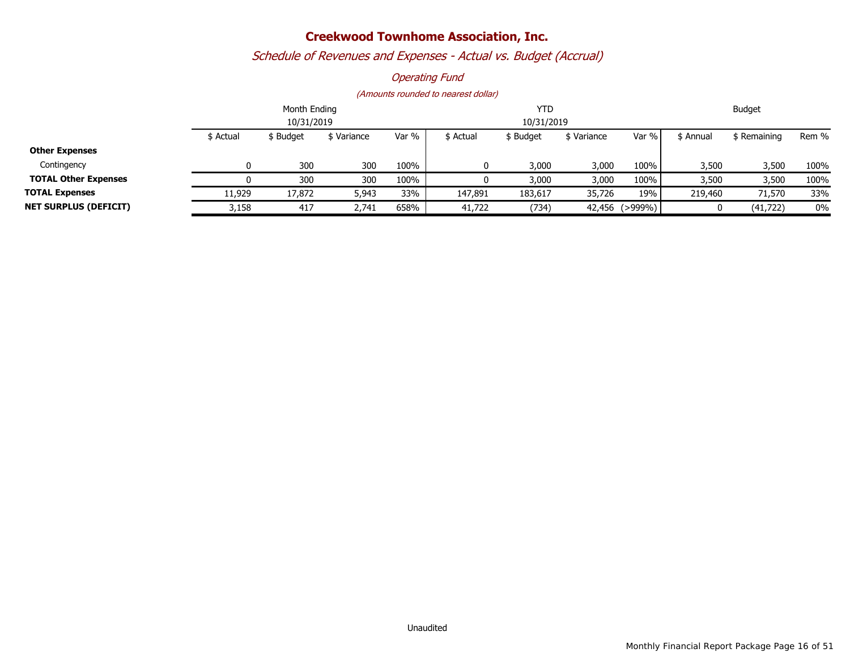# *Schedule of Revenues and Expenses - Actual vs. Budget (Accrual)*

### *Operating Fund*

|                              |           | Month Ending |          |       | <b>YTD</b> | Budget     |             |                |           |                    |       |
|------------------------------|-----------|--------------|----------|-------|------------|------------|-------------|----------------|-----------|--------------------|-------|
|                              |           | 10/31/2019   |          |       |            | 10/31/2019 |             |                |           |                    |       |
|                              | \$ Actual | \$ Budget    | Variance | Var % | \$ Actual  | \$ Budget  | \$ Variance | Var % l        | \$ Annual | <b>S</b> Remaining | Rem % |
| <b>Other Expenses</b>        |           |              |          |       |            |            |             |                |           |                    |       |
| Contingency                  |           | 300          | 300      | 100%  | 0          | 3,000      | 3,000       | 100%           | 3,500     | 3,500              | 100%  |
| <b>TOTAL Other Expenses</b>  |           | 300          | 300      | 100%  |            | 3,000      | 3,000       | 100%           | 3,500     | 3,500              | 100%  |
| <b>TOTAL Expenses</b>        | 11,929    | 17,872       | 5,943    | 33%   | 147,891    | 183,617    | 35,726      | 19%            | 219,460   | 71,570             | 33%   |
| <b>NET SURPLUS (DEFICIT)</b> | 3,158     | 417          | 2,741    | 658%  | 41,722     | (734)      |             | 42,456 (>999%) |           | (41, 722)          | 0%    |